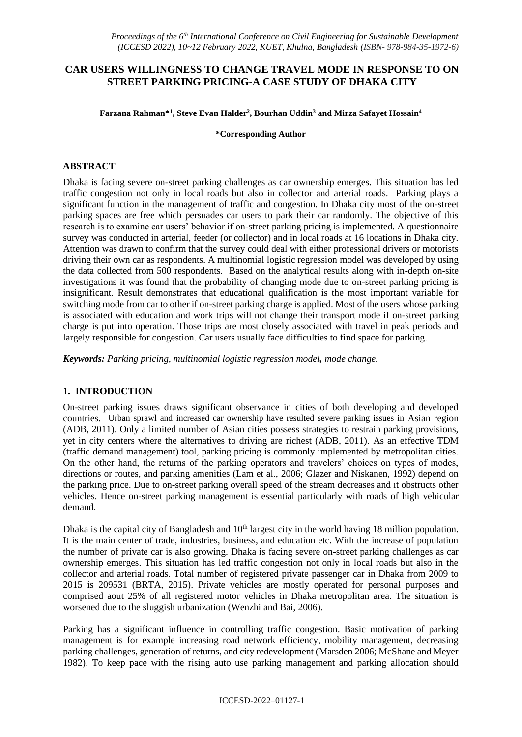# **CAR USERS WILLINGNESS TO CHANGE TRAVEL MODE IN RESPONSE TO ON STREET PARKING PRICING-A CASE STUDY OF DHAKA CITY**

**Farzana Rahman\*<sup>1</sup> , Steve Evan Halder<sup>2</sup> , Bourhan Uddin<sup>3</sup> and Mirza Safayet Hossain<sup>4</sup>**

**\*Corresponding Author**

## **ABSTRACT**

Dhaka is facing severe on-street parking challenges as car ownership emerges. This situation has led traffic congestion not only in local roads but also in collector and arterial roads. Parking plays a significant function in the management of traffic and congestion. In Dhaka city most of the on-street parking spaces are free which persuades car users to park their car randomly. The objective of this research is to examine car users' behavior if on-street parking pricing is implemented. A questionnaire survey was conducted in arterial, feeder (or collector) and in local roads at 16 locations in Dhaka city. Attention was drawn to confirm that the survey could deal with either professional drivers or motorists driving their own car as respondents. A multinomial logistic regression model was developed by using the data collected from 500 respondents. Based on the analytical results along with in-depth on-site investigations it was found that the probability of changing mode due to on-street parking pricing is insignificant. Result demonstrates that educational qualification is the most important variable for switching mode from car to other if on-street parking charge is applied. Most of the users whose parking is associated with education and work trips will not change their transport mode if on-street parking charge is put into operation. Those trips are most closely associated with travel in peak periods and largely responsible for congestion. Car users usually face difficulties to find space for parking.

*Keywords: Parking pricing, multinomial logistic regression model, mode change.*

## **1. INTRODUCTION**

On-street parking issues draws significant observance in cities of both developing and developed countries. Urban sprawl and increased car ownership have resulted severe parking issues in Asian region (ADB, 2011). Only a limited number of Asian cities possess strategies to restrain parking provisions, yet in city centers where the alternatives to driving are richest (ADB, 2011). As an effective TDM (traffic demand management) tool, parking pricing is commonly implemented by metropolitan cities. On the other hand, the returns of the parking operators and travelers' choices on types of modes, directions or routes, and parking amenities (Lam et al., 2006; Glazer and Niskanen, 1992) depend on the parking price. Due to on-street parking overall speed of the stream decreases and it obstructs other vehicles. Hence on-street parking management is essential particularly with roads of high vehicular demand.

Dhaka is the capital city of Bangladesh and  $10<sup>th</sup>$  largest city in the world having 18 million population. It is the main center of trade, industries, business, and education etc. With the increase of population the number of private car is also growing. Dhaka is facing severe on-street parking challenges as car ownership emerges. This situation has led traffic congestion not only in local roads but also in the collector and arterial roads. Total number of registered private passenger car in Dhaka from 2009 to 2015 is 209531 (BRTA, 2015). Private vehicles are mostly operated for personal purposes and comprised aout 25% of all registered motor vehicles in Dhaka metropolitan area. The situation is worsened due to the sluggish urbanization (Wenzhi and Bai, 2006).

Parking has a significant influence in controlling traffic congestion. Basic motivation of parking management is for example increasing road network efficiency, mobility management, decreasing parking challenges, generation of returns, and city redevelopment (Marsden 2006; McShane and Meyer 1982). To keep pace with the rising auto use parking management and parking allocation should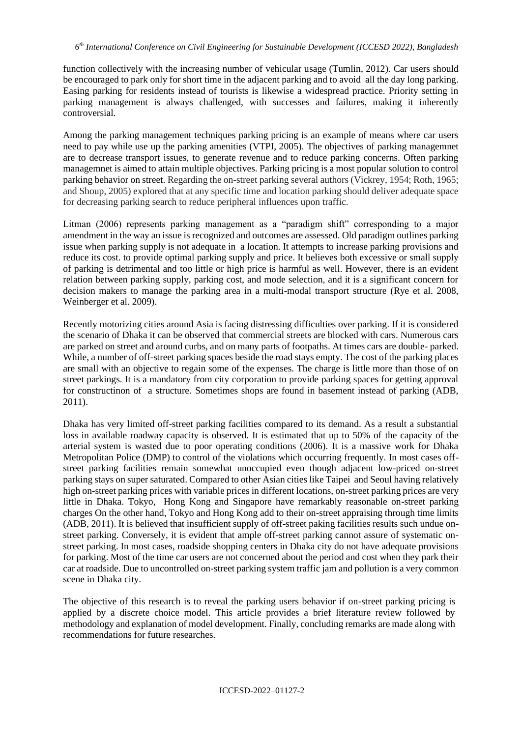function collectively with the increasing number of vehicular usage (Tumlin, 2012). Car users should be encouraged to park only for short time in the adjacent parking and to avoid all the day long parking. Easing parking for residents instead of tourists is likewise a widespread practice. Priority setting in parking management is always challenged, with successes and failures, making it inherently controversial.

Among the parking management techniques parking pricing is an example of means where car users need to pay while use up the parking amenities (VTPI, 2005). The objectives of parking managemnet are to decrease transport issues, to generate revenue and to reduce parking concerns. Often parking managemnet is aimed to attain multiple objectives. Parking pricing is a most popular solution to control parking behavior on street. Regarding the on-street parking several authors (Vickrey, 1954; Roth, 1965; and Shoup, 2005) explored that at any specific time and location parking should deliver adequate space for decreasing parking search to reduce peripheral influences upon traffic.

Litman (2006) represents parking management as a "paradigm shift" corresponding to a major amendment in the way an issue is recognized and outcomes are assessed. Old paradigm outlines parking issue when parking supply is not adequate in a location. It attempts to increase parking provisions and reduce its cost. to provide optimal parking supply and price. It believes both excessive or small supply of parking is detrimental and too little or high price is harmful as well. However, there is an evident relation between parking supply, parking cost, and mode selection, and it is a significant concern for decision makers to manage the parking area in a multi-modal transport structure (Rye et al. 2008, Weinberger et al. 2009).

Recently motorizing cities around Asia is facing distressing difficulties over parking. If it is considered the scenario of Dhaka it can be observed that commercial streets are blocked with cars. Numerous cars are parked on street and around curbs, and on many parts of footpaths. At times cars are double- parked. While, a number of off-street parking spaces beside the road stays empty. The cost of the parking places are small with an objective to regain some of the expenses. The charge is little more than those of on street parkings. It is a mandatory from city corporation to provide parking spaces for getting approval for constructinon of a structure. Sometimes shops are found in basement instead of parking (ADB, 2011).

Dhaka has very limited off-street parking facilities compared to its demand. As a result a substantial loss in available roadway capacity is observed. It is estimated that up to 50% of the capacity of the arterial system is wasted due to poor operating conditions (2006). It is a massive work for Dhaka Metropolitan Police (DMP) to control of the violations which occurring frequently. In most cases offstreet parking facilities remain somewhat unoccupied even though adjacent low-priced on-street parking stays on super saturated. Compared to other Asian cities like Taipei and Seoul having relatively high on-street parking prices with variable prices in different locations, on-street parking prices are very little in Dhaka. Tokyo, Hong Kong and Singapore have remarkably reasonable on-street parking charges On the other hand, Tokyo and Hong Kong add to their on-street appraising through time limits (ADB, 2011). It is believed that insufficient supply of off-street paking facilities results such undue onstreet parking. Conversely, it is evident that ample off-street parking cannot assure of systematic onstreet parking. In most cases, roadside shopping centers in Dhaka city do not have adequate provisions for parking. Most of the time car users are not concerned about the period and cost when they park their car at roadside. Due to uncontrolled on-street parking system traffic jam and pollution is a very common scene in Dhaka city.

The objective of this research is to reveal the parking users behavior if on-street parking pricing is applied by a discrete choice model. This article provides a brief literature review followed by methodology and explanation of model development. Finally, concluding remarks are made along with recommendations for future researches.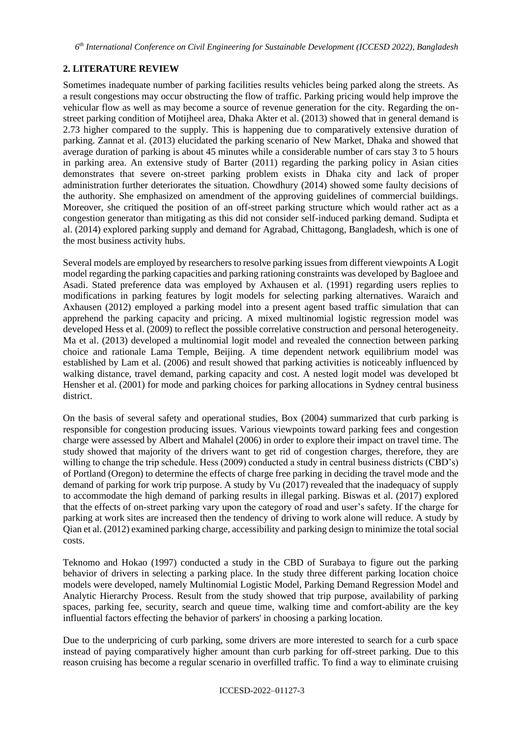# **2. LITERATURE REVIEW**

Sometimes inadequate number of parking facilities results vehicles being parked along the streets. As a result congestions may occur obstructing the flow of traffic. Parking pricing would help improve the vehicular flow as well as may become a source of revenue generation for the city. Regarding the onstreet parking condition of Motijheel area, Dhaka Akter et al. (2013) showed that in general demand is 2.73 higher compared to the supply. This is happening due to comparatively extensive duration of parking. Zannat et al. (2013) elucidated the parking scenario of New Market, Dhaka and showed that average duration of parking is about 45 minutes while a considerable number of cars stay 3 to 5 hours in parking area. An extensive study of Barter (2011) regarding the parking policy in Asian cities demonstrates that severe on-street parking problem exists in Dhaka city and lack of proper administration further deteriorates the situation. Chowdhury (2014) showed some faulty decisions of the authority. She emphasized on amendment of the approving guidelines of commercial buildings. Moreover, she critiqued the position of an off-street parking structure which would rather act as a congestion generator than mitigating as this did not consider self-induced parking demand. Sudipta et al. (2014) explored parking supply and demand for Agrabad, Chittagong, Bangladesh, which is one of the most business activity hubs.

Several models are employed by researchers to resolve parking issues from different viewpoints A Logit model regarding the parking capacities and parking rationing constraints was developed by Bagloee and Asadi. Stated preference data was employed by Axhausen et al. (1991) regarding users replies to modifications in parking features by logit models for selecting parking alternatives. Waraich and Axhausen (2012) employed a parking model into a present agent based traffic simulation that can apprehend the parking capacity and pricing. A mixed multinomial logistic regression model was developed Hess et al. (2009) to reflect the possible correlative construction and personal heterogeneity. Ma et al. (2013) developed a multinomial logit model and revealed the connection between parking choice and rationale Lama Temple, Beijing. A time dependent network equilibrium model was established by Lam et al. (2006) and result showed that parking activities is noticeably influenced by walking distance, travel demand, parking capacity and cost. A nested logit model was developed bt Hensher et al. (2001) for mode and parking choices for parking allocations in Sydney central business district.

On the basis of several safety and operational studies, Box (2004) summarized that curb parking is responsible for congestion producing issues. Various viewpoints toward parking fees and congestion charge were assessed by Albert and Mahalel (2006) in order to explore their impact on travel time. The study showed that majority of the drivers want to get rid of congestion charges, therefore, they are willing to change the trip schedule. Hess (2009) conducted a study in central business districts (CBD's) of Portland (Oregon) to determine the effects of charge free parking in deciding the travel mode and the demand of parking for work trip purpose. A study by Vu (2017) revealed that the inadequacy of supply to accommodate the high demand of parking results in illegal parking. Biswas et al. (2017) explored that the effects of on-street parking vary upon the category of road and user's safety. If the charge for parking at work sites are increased then the tendency of driving to work alone will reduce. A study by Qian et al. (2012) examined parking charge, accessibility and parking design to minimize the total social costs.

Teknomo and Hokao (1997) conducted a study in the CBD of Surabaya to figure out the parking behavior of drivers in selecting a parking place. In the study three different parking location choice models were developed, namely Multinomial Logistic Model, Parking Demand Regression Model and Analytic Hierarchy Process. Result from the study showed that trip purpose, availability of parking spaces, parking fee, security, search and queue time, walking time and comfort-ability are the key influential factors effecting the behavior of parkers' in choosing a parking location.

Due to the underpricing of curb parking, some drivers are more interested to search for a curb space instead of paying comparatively higher amount than curb parking for off-street parking. Due to this reason cruising has become a regular scenario in overfilled traffic. To find a way to eliminate cruising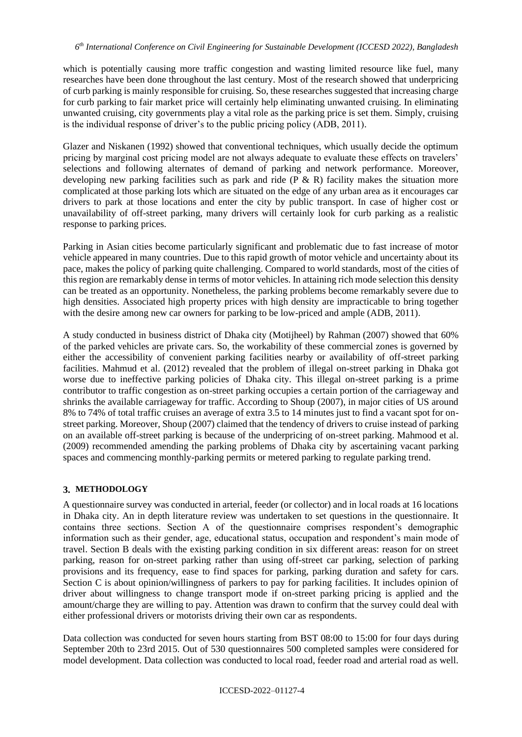which is potentially causing more traffic congestion and wasting limited resource like fuel, many researches have been done throughout the last century. Most of the research showed that underpricing of curb parking is mainly responsible for cruising. So, these researches suggested that increasing charge for curb parking to fair market price will certainly help eliminating unwanted cruising. In eliminating unwanted cruising, city governments play a vital role as the parking price is set them. Simply, cruising is the individual response of driver's to the public pricing policy (ADB, 2011).

Glazer and Niskanen (1992) showed that conventional techniques, which usually decide the optimum pricing by marginal cost pricing model are not always adequate to evaluate these effects on travelers' selections and following alternates of demand of parking and network performance. Moreover, developing new parking facilities such as park and ride ( $P \& R$ ) facility makes the situation more complicated at those parking lots which are situated on the edge of any urban area as it encourages car drivers to park at those locations and enter the city by public transport. In case of higher cost or unavailability of off-street parking, many drivers will certainly look for curb parking as a realistic response to parking prices.

Parking in Asian cities become particularly significant and problematic due to fast increase of motor vehicle appeared in many countries. Due to this rapid growth of motor vehicle and uncertainty about its pace, makes the policy of parking quite challenging. Compared to world standards, most of the cities of this region are remarkably dense in terms of motor vehicles. In attaining rich mode selection this density can be treated as an opportunity. Nonetheless, the parking problems become remarkably severe due to high densities. Associated high property prices with high density are impracticable to bring together with the desire among new car owners for parking to be low-priced and ample (ADB, 2011).

A study conducted in business district of Dhaka city (Motijheel) by Rahman (2007) showed that 60% of the parked vehicles are private cars. So, the workability of these commercial zones is governed by either the accessibility of convenient parking facilities nearby or availability of off-street parking facilities. Mahmud et al. (2012) revealed that the problem of illegal on-street parking in Dhaka got worse due to ineffective parking policies of Dhaka city. This illegal on-street parking is a prime contributor to traffic congestion as on-street parking occupies a certain portion of the carriageway and shrinks the available carriageway for traffic. According to Shoup (2007), in major cities of US around 8% to 74% of total traffic cruises an average of extra 3.5 to 14 minutes just to find a vacant spot for onstreet parking. Moreover, Shoup (2007) claimed that the tendency of drivers to cruise instead of parking on an available off-street parking is because of the underpricing of on-street parking. Mahmood et al. (2009) recommended amending the parking problems of Dhaka city by ascertaining vacant parking spaces and commencing monthly-parking permits or metered parking to regulate parking trend.

## **3. METHODOLOGY**

A questionnaire survey was conducted in arterial, feeder (or collector) and in local roads at 16 locations in Dhaka city. An in depth literature review was undertaken to set questions in the questionnaire. It contains three sections. Section A of the questionnaire comprises respondent's demographic information such as their gender, age, educational status, occupation and respondent's main mode of travel. Section B deals with the existing parking condition in six different areas: reason for on street parking, reason for on-street parking rather than using off-street car parking, selection of parking provisions and its frequency, ease to find spaces for parking, parking duration and safety for cars. Section C is about opinion/willingness of parkers to pay for parking facilities. It includes opinion of driver about willingness to change transport mode if on-street parking pricing is applied and the amount/charge they are willing to pay. Attention was drawn to confirm that the survey could deal with either professional drivers or motorists driving their own car as respondents.

Data collection was conducted for seven hours starting from BST 08:00 to 15:00 for four days during September 20th to 23rd 2015. Out of 530 questionnaires 500 completed samples were considered for model development. Data collection was conducted to local road, feeder road and arterial road as well.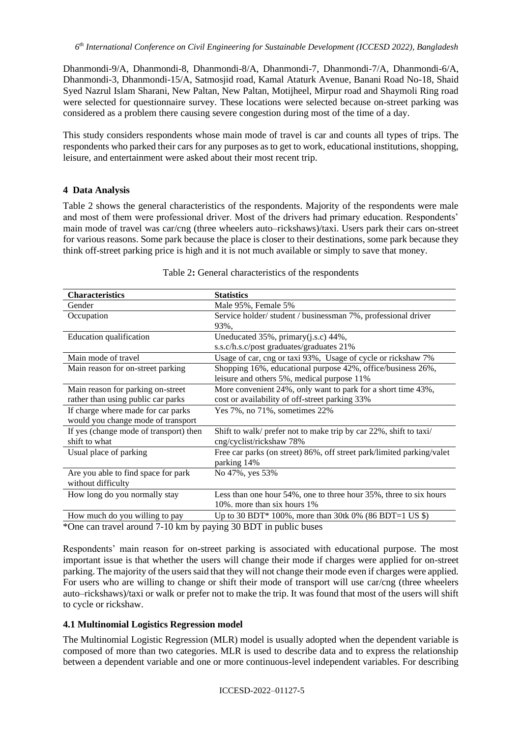Dhanmondi-9/A, Dhanmondi-8, Dhanmondi-8/A, Dhanmondi-7, Dhanmondi-7/A, Dhanmondi-6/A, Dhanmondi-3, Dhanmondi-15/A, Satmosjid road, Kamal Ataturk Avenue, Banani Road No-18, Shaid Syed Nazrul Islam Sharani, New Paltan, New Paltan, Motijheel, Mirpur road and Shaymoli Ring road were selected for questionnaire survey. These locations were selected because on-street parking was considered as a problem there causing severe congestion during most of the time of a day.

This study considers respondents whose main mode of travel is car and counts all types of trips. The respondents who parked their cars for any purposes as to get to work, educational institutions, shopping, leisure, and entertainment were asked about their most recent trip.

## **4 Data Analysis**

Table 2 shows the general characteristics of the respondents. Majority of the respondents were male and most of them were professional driver. Most of the drivers had primary education. Respondents' main mode of travel was car/cng (three wheelers auto–rickshaws)/taxi. Users park their cars on-street for various reasons. Some park because the place is closer to their destinations, some park because they think off-street parking price is high and it is not much available or simply to save that money.

| <b>Characteristics</b>                 | <b>Statistics</b>                                                     |
|----------------------------------------|-----------------------------------------------------------------------|
| Gender                                 | Male 95%, Female 5%                                                   |
| Occupation                             | Service holder/student/businessman 7%, professional driver            |
|                                        | 93%,                                                                  |
| Education qualification                | Uneducated $35\%$ , primary(j.s.c) $44\%$ ,                           |
|                                        | s.s.c/h.s.c/post graduates/graduates 21%                              |
| Main mode of travel                    | Usage of car, cng or taxi 93%, Usage of cycle or rickshaw 7%          |
| Main reason for on-street parking      | Shopping 16%, educational purpose 42%, office/business 26%,           |
|                                        | leisure and others 5%, medical purpose 11%                            |
| Main reason for parking on-street      | More convenient 24%, only want to park for a short time 43%,          |
| rather than using public car parks     | cost or availability of off-street parking 33%                        |
| If charge where made for car parks     | Yes 7%, no 71%, sometimes 22%                                         |
| would you change mode of transport     |                                                                       |
| If yes (change mode of transport) then | Shift to walk/ prefer not to make trip by car 22%, shift to taxi/     |
| shift to what                          | cng/cyclist/rickshaw 78%                                              |
| Usual place of parking                 | Free car parks (on street) 86%, off street park/limited parking/valet |
|                                        | parking 14%                                                           |
| Are you able to find space for park    | No 47%, yes 53%                                                       |
| without difficulty                     |                                                                       |
| How long do you normally stay          | Less than one hour 54%, one to three hour 35%, three to six hours     |
|                                        | 10%, more than six hours 1%                                           |
| How much do you willing to pay         | Up to 30 BDT* 100%, more than 30tk 0% (86 BDT=1 US \$)                |

Table 2**:** General characteristics of the respondents

\*One can travel around 7-10 km by paying 30 BDT in public buses

Respondents' main reason for on-street parking is associated with educational purpose. The most important issue is that whether the users will change their mode if charges were applied for on-street parking. The majority of the users said that they will not change their mode even if charges were applied. For users who are willing to change or shift their mode of transport will use car/cng (three wheelers auto–rickshaws)/taxi or walk or prefer not to make the trip. It was found that most of the users will shift to cycle or rickshaw.

## **4.1 Multinomial Logistics Regression model**

The Multinomial Logistic Regression (MLR) model is usually adopted when the dependent variable is composed of more than two categories. MLR is used to describe data and to express the relationship between a dependent variable and one or more continuous-level independent variables. For describing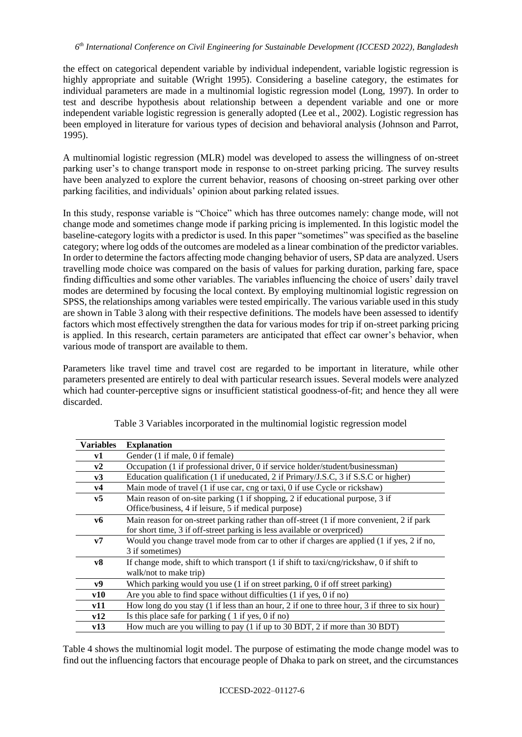#### *6 th International Conference on Civil Engineering for Sustainable Development (ICCESD 2022), Bangladesh*

the effect on categorical dependent variable by individual independent, variable logistic regression is highly appropriate and suitable (Wright 1995). Considering a baseline category, the estimates for individual parameters are made in a multinomial logistic regression model (Long, 1997). In order to test and describe hypothesis about relationship between a dependent variable and one or more independent variable logistic regression is generally adopted (Lee et al., 2002). Logistic regression has been employed in literature for various types of decision and behavioral analysis (Johnson and Parrot, 1995).

A multinomial logistic regression (MLR) model was developed to assess the willingness of on-street parking user's to change transport mode in response to on-street parking pricing. The survey results have been analyzed to explore the current behavior, reasons of choosing on-street parking over other parking facilities, and individuals' opinion about parking related issues.

In this study, response variable is "Choice" which has three outcomes namely: change mode, will not change mode and sometimes change mode if parking pricing is implemented. In this logistic model the baseline-category logits with a predictor is used. In this paper "sometimes" was specified as the baseline category; where log odds of the outcomes are modeled as a linear combination of the predictor variables. In order to determine the factors affecting mode changing behavior of users, SP data are analyzed. Users travelling mode choice was compared on the basis of values for parking duration, parking fare, space finding difficulties and some other variables. The variables influencing the choice of users' daily travel modes are determined by focusing the local context. By employing multinomial logistic regression on SPSS, the relationships among variables were tested empirically. The various variable used in this study are shown in Table 3 along with their respective definitions. The models have been assessed to identify factors which most effectively strengthen the data for various modes for trip if on-street parking pricing is applied. In this research, certain parameters are anticipated that effect car owner's behavior, when various mode of transport are available to them.

Parameters like travel time and travel cost are regarded to be important in literature, while other parameters presented are entirely to deal with particular research issues. Several models were analyzed which had counter-perceptive signs or insufficient statistical goodness-of-fit; and hence they all were discarded.

| <b>Variables</b> | <b>Explanation</b>                                                                            |  |
|------------------|-----------------------------------------------------------------------------------------------|--|
| v1               | Gender (1 if male, 0 if female)                                                               |  |
| v2               | Occupation (1 if professional driver, 0 if service holder/student/businessman)                |  |
| v3               | Education qualification (1 if uneducated, 2 if Primary/J.S.C, 3 if S.S.C or higher)           |  |
| v4               | Main mode of travel (1 if use car, cng or taxi, 0 if use Cycle or rickshaw)                   |  |
| v5               | Main reason of on-site parking (1 if shopping, 2 if educational purpose, 3 if                 |  |
|                  | Office/business, 4 if leisure, 5 if medical purpose)                                          |  |
| v6               | Main reason for on-street parking rather than off-street (1 if more convenient, 2 if park     |  |
|                  | for short time, 3 if off-street parking is less available or overpriced)                      |  |
| v7               | Would you change travel mode from car to other if charges are applied (1 if yes, 2 if no,     |  |
|                  | 3 if sometimes)                                                                               |  |
| v8               | If change mode, shift to which transport (1 if shift to taxi/cng/rickshaw, 0 if shift to      |  |
|                  | walk/not to make trip)                                                                        |  |
| <b>v9</b>        | Which parking would you use (1 if on street parking, 0 if off street parking)                 |  |
| v10              | Are you able to find space without difficulties $(1 \text{ if yes}, 0 \text{ if no})$         |  |
| v11              | How long do you stay (1 if less than an hour, 2 if one to three hour, 3 if three to six hour) |  |
| v12              | Is this place safe for parking $(1 if yes, 0 if no)$                                          |  |
| v13              | How much are you willing to pay (1 if up to 30 BDT, 2 if more than 30 BDT)                    |  |

Table 3 Variables incorporated in the multinomial logistic regression model

Table 4 shows the multinomial logit model. The purpose of estimating the mode change model was to find out the influencing factors that encourage people of Dhaka to park on street, and the circumstances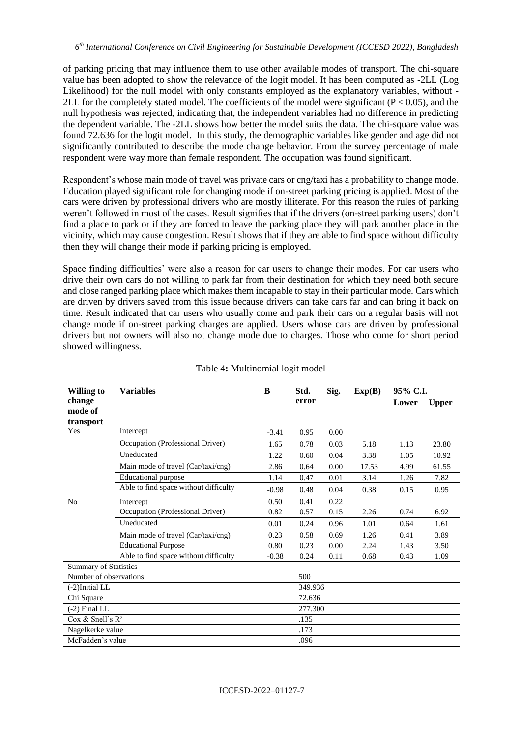of parking pricing that may influence them to use other available modes of transport. The chi-square value has been adopted to show the relevance of the logit model. It has been computed as -2LL (Log Likelihood) for the null model with only constants employed as the explanatory variables, without - 2LL for the completely stated model. The coefficients of the model were significant  $(P < 0.05)$ , and the null hypothesis was rejected, indicating that, the independent variables had no difference in predicting the dependent variable. The -2LL shows how better the model suits the data. The chi-square value was found 72.636 for the logit model. In this study, the demographic variables like gender and age did not significantly contributed to describe the mode change behavior. From the survey percentage of male respondent were way more than female respondent. The occupation was found significant.

Respondent's whose main mode of travel was private cars or cng/taxi has a probability to change mode. Education played significant role for changing mode if on-street parking pricing is applied. Most of the cars were driven by professional drivers who are mostly illiterate. For this reason the rules of parking weren't followed in most of the cases. Result signifies that if the drivers (on-street parking users) don't find a place to park or if they are forced to leave the parking place they will park another place in the vicinity, which may cause congestion. Result shows that if they are able to find space without difficulty then they will change their mode if parking pricing is employed.

Space finding difficulties' were also a reason for car users to change their modes. For car users who drive their own cars do not willing to park far from their destination for which they need both secure and close ranged parking place which makes them incapable to stay in their particular mode. Cars which are driven by drivers saved from this issue because drivers can take cars far and can bring it back on time. Result indicated that car users who usually come and park their cars on a regular basis will not change mode if on-street parking charges are applied. Users whose cars are driven by professional drivers but not owners will also not change mode due to charges. Those who come for short period showed willingness.

| <b>Willing to</b>            | <b>Variables</b>                      | B       | Std.    | Sig. | Exp(B) | 95% C.I. |              |
|------------------------------|---------------------------------------|---------|---------|------|--------|----------|--------------|
| change<br>mode of            |                                       |         | error   |      |        | Lower    | <b>Upper</b> |
| transport                    |                                       |         |         |      |        |          |              |
| Yes                          | Intercept                             | $-3.41$ | 0.95    | 0.00 |        |          |              |
|                              | Occupation (Professional Driver)      | 1.65    | 0.78    | 0.03 | 5.18   | 1.13     | 23.80        |
|                              | Uneducated                            | 1.22    | 0.60    | 0.04 | 3.38   | 1.05     | 10.92        |
|                              | Main mode of travel (Car/taxi/cng)    | 2.86    | 0.64    | 0.00 | 17.53  | 4.99     | 61.55        |
|                              | <b>Educational purpose</b>            | 1.14    | 0.47    | 0.01 | 3.14   | 1.26     | 7.82         |
|                              | Able to find space without difficulty | $-0.98$ | 0.48    | 0.04 | 0.38   | 0.15     | 0.95         |
| N <sub>0</sub>               | Intercept                             | 0.50    | 0.41    | 0.22 |        |          |              |
|                              | Occupation (Professional Driver)      | 0.82    | 0.57    | 0.15 | 2.26   | 0.74     | 6.92         |
|                              | Uneducated                            | 0.01    | 0.24    | 0.96 | 1.01   | 0.64     | 1.61         |
|                              | Main mode of travel (Car/taxi/cng)    | 0.23    | 0.58    | 0.69 | 1.26   | 0.41     | 3.89         |
|                              | <b>Educational Purpose</b>            | 0.80    | 0.23    | 0.00 | 2.24   | 1.43     | 3.50         |
|                              | Able to find space without difficulty | $-0.38$ | 0.24    | 0.11 | 0.68   | 0.43     | 1.09         |
| <b>Summary of Statistics</b> |                                       |         |         |      |        |          |              |
| Number of observations       |                                       |         | 500     |      |        |          |              |
| (-2)Initial LL               |                                       | 349.936 |         |      |        |          |              |
| Chi Square                   |                                       | 72.636  |         |      |        |          |              |
| $(-2)$ Final LL              |                                       |         | 277.300 |      |        |          |              |
| Cox & Snell's $R^2$          |                                       |         | .135    |      |        |          |              |
| Nagelkerke value             |                                       |         | .173    |      |        |          |              |
| McFadden's value             |                                       | .096    |         |      |        |          |              |

# Table 4**:** Multinomial logit model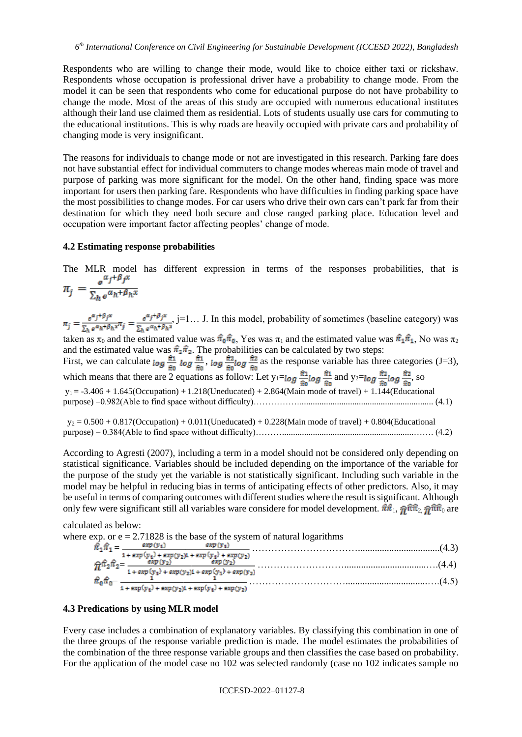Respondents who are willing to change their mode, would like to choice either taxi or rickshaw. Respondents whose occupation is professional driver have a probability to change mode. From the model it can be seen that respondents who come for educational purpose do not have probability to change the mode. Most of the areas of this study are occupied with numerous educational institutes although their land use claimed them as residential. Lots of students usually use cars for commuting to the educational institutions. This is why roads are heavily occupied with private cars and probability of changing mode is very insignificant.

The reasons for individuals to change mode or not are investigated in this research. Parking fare does not have substantial effect for individual commuters to change modes whereas main mode of travel and purpose of parking was more significant for the model. On the other hand, finding space was more important for users then parking fare. Respondents who have difficulties in finding parking space have the most possibilities to change modes. For car users who drive their own cars can't park far from their destination for which they need both secure and close ranged parking place. Education level and occupation were important factor affecting peoples' change of mode.

### **4.2 Estimating response probabilities**

The MLR model has different expression in terms of the responses probabilities, that is  $\alpha_i + \beta_i x$ 

$$
\pi_j = \frac{1}{\sum_h e^{\alpha_h + \beta_h x}}
$$

 $\pi_j = \frac{e^{\alpha_j + \beta_j x}}{\sum_h e^{\alpha_h + \beta_h x}} = \frac{e^{\alpha_j + \beta_j x}}{\sum_h e^{\alpha_h + \beta_h x}}$ , j=1... J. In this model, probability of sometimes (baseline category) was taken as  $\pi_0$  and the estimated value was  $\hat{\pi}_0 \hat{\pi}_0$ , Yes was  $\pi_1$  and the estimated value was  $\hat{\pi}_1 \hat{\pi}_1$ , No was  $\pi_2$ and the estimated value was  $\hat{\pi}_2 \hat{\pi}_2$ . The probabilities can be calculated by two steps: First, we can calculate  $\log \frac{\pi}{\lambda} \log \frac{\pi}{\lambda}$ ,  $\log \frac{\pi}{\lambda} \log \frac{\pi}{\lambda}$  as the response variable has three categories (J=3), which means that there are 2 equations as follow: Let  $y_1 = \log \frac{\pi i}{\lambda} \log \frac{\pi i}{\lambda}$  and  $y_2 = \log \frac{\pi i}{\lambda} \log \frac{\pi i}{\lambda}$ , so  $y_1 = -3.406 + 1.645$ (Occupation) + 1.218(Uneducated) + 2.864(Main mode of travel) + 1.144(Educational purpose) –0.982(Able to find space without difficulty)…………….............................................................. (4.1)

<span id="page-7-0"></span> $y_2 = 0.500 + 0.817$ (Occupation) + 0.011(Uneducated) + 0.228(Main mode of travel) + 0.804(Educational purpose) – 0.384(Able to find space without difficulty)………............................................................……. (4.2)

According to Agresti (2007), including a term in a model should not be considered only depending on statistical significance. Variables should be included depending on the importance of the variable for the purpose of the study yet the variable is not statistically significant. Including such variable in the model may be helpful in reducing bias in terms of anticipating effects of other predictors. Also, it may be useful in terms of comparing outcomes with different studies where the result is significant. Although only few were significant still all variables ware considere for model development.  $\hat{\pi}\hat{\pi}_1$ ,  $\hat{\pi}$   $\hat{\pi}\hat{\pi}_{2}$ ,  $\hat{\pi}$   $\hat{\pi}$   $\hat{\pi}_0$  are

```
calculated as below: 
where exp. or e = 2.71828 is the base of the system of natural logarithms
```

| . |  |                                                  |       |
|---|--|--------------------------------------------------|-------|
|   |  |                                                  |       |
|   |  | $1 + exp(y_1) + exp(y_2)1 + exp(y_1) + exp(y_2)$ |       |
|   |  |                                                  |       |
|   |  | $1 + exp(y_1) + exp(y_2)1 + exp(y_1) + exp(y_2)$ |       |
|   |  |                                                  | (4.5) |
|   |  |                                                  |       |

#### **4.3 Predications by using MLR model**

Every case includes a combination of explanatory variables. By classifying this combination in one of the three groups of the response variable prediction is made. The model estimates the probabilities of the combination of the three response variable groups and then classifies the case based on probability. For the application of the model case no 102 was selected randomly (case no 102 indicates sample no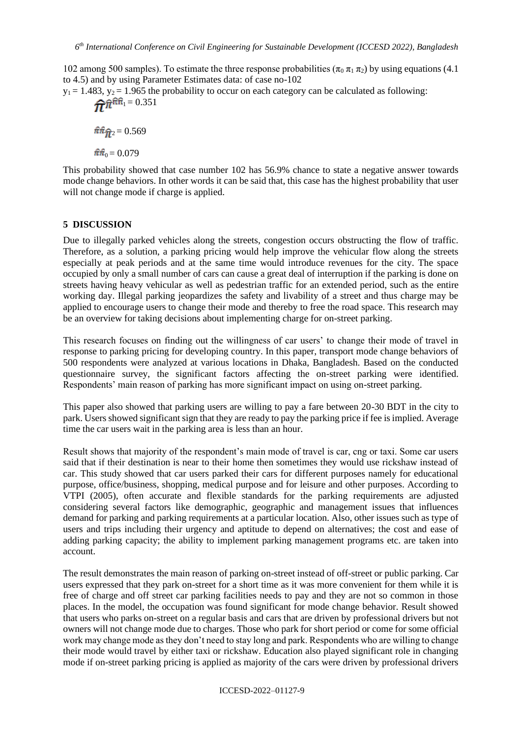102 among 500 samples). To estimate the three response probabilities ( $\pi_0 \pi_1 \pi_2$ ) by using equations [\(4.1](#page-7-0)) to 4.5) and by using Parameter Estimates data: of case no-102

 $y_1 = 1.483$ ,  $y_2 = 1.965$  the probability to occur on each category can be calculated as following:  $\hat{\pi}^{\hat{\pi}\hat{\pi}} = 0.351$ 

$$
\hat{\pi}\hat{\pi}_{\widehat{\mathbf{T}}2}=0.569
$$

 $\hat{\pi}\hat{\pi}_0 = 0.079$ 

This probability showed that case number 102 has 56.9% chance to state a negative answer towards mode change behaviors. In other words it can be said that, this case has the highest probability that user will not change mode if charge is applied.

### **5 DISCUSSION**

Due to illegally parked vehicles along the streets, congestion occurs obstructing the flow of traffic. Therefore, as a solution, a parking pricing would help improve the vehicular flow along the streets especially at peak periods and at the same time would introduce revenues for the city. The space occupied by only a small number of cars can cause a great deal of interruption if the parking is done on streets having heavy vehicular as well as pedestrian traffic for an extended period, such as the entire working day. Illegal parking jeopardizes the safety and livability of a street and thus charge may be applied to encourage users to change their mode and thereby to free the road space. This research may be an overview for taking decisions about implementing charge for on-street parking.

This research focuses on finding out the willingness of car users' to change their mode of travel in response to parking pricing for developing country. In this paper, transport mode change behaviors of 500 respondents were analyzed at various locations in Dhaka, Bangladesh. Based on the conducted questionnaire survey, the significant factors affecting the on-street parking were identified. Respondents' main reason of parking has more significant impact on using on-street parking.

This paper also showed that parking users are willing to pay a fare between 20-30 BDT in the city to park. Users showed significant sign that they are ready to pay the parking price if fee is implied. Average time the car users wait in the parking area is less than an hour.

Result shows that majority of the respondent's main mode of travel is car, cng or taxi. Some car users said that if their destination is near to their home then sometimes they would use rickshaw instead of car. This study showed that car users parked their cars for different purposes namely for educational purpose, office/business, shopping, medical purpose and for leisure and other purposes. According to VTPI (2005), often accurate and flexible standards for the parking requirements are adjusted considering several factors like demographic, geographic and management issues that influences demand for parking and parking requirements at a particular location. Also, other issues such as type of users and trips including their urgency and aptitude to depend on alternatives; the cost and ease of adding parking capacity; the ability to implement parking management programs etc. are taken into account.

The result demonstrates the main reason of parking on-street instead of off-street or public parking. Car users expressed that they park on-street for a short time as it was more convenient for them while it is free of charge and off street car parking facilities needs to pay and they are not so common in those places. In the model, the occupation was found significant for mode change behavior. Result showed that users who parks on-street on a regular basis and cars that are driven by professional drivers but not owners will not change mode due to charges. Those who park for short period or come for some official work may change mode as they don't need to stay long and park. Respondents who are willing to change their mode would travel by either taxi or rickshaw. Education also played significant role in changing mode if on-street parking pricing is applied as majority of the cars were driven by professional drivers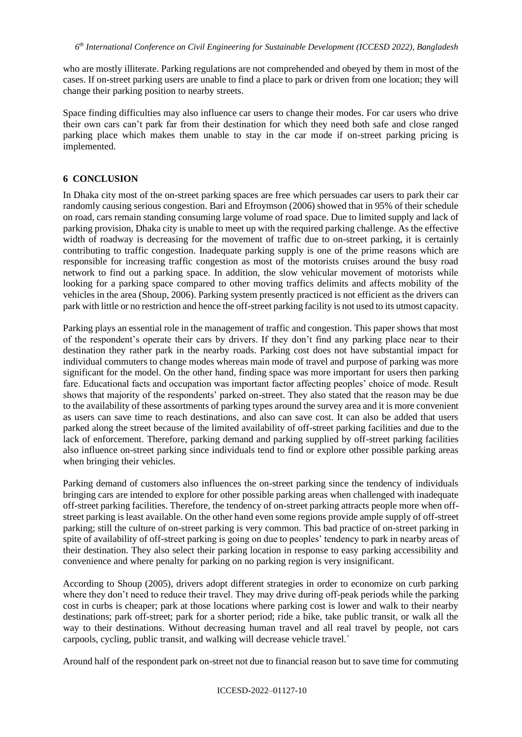who are mostly illiterate. Parking regulations are not comprehended and obeyed by them in most of the cases. If on-street parking users are unable to find a place to park or driven from one location; they will change their parking position to nearby streets.

Space finding difficulties may also influence car users to change their modes. For car users who drive their own cars can't park far from their destination for which they need both safe and close ranged parking place which makes them unable to stay in the car mode if on-street parking pricing is implemented.

## **6 CONCLUSION**

In Dhaka city most of the on-street parking spaces are free which persuades car users to park their car randomly causing serious congestion. Bari and Efroymson (2006) showed that in 95% of their schedule on road, cars remain standing consuming large volume of road space. Due to limited supply and lack of parking provision, Dhaka city is unable to meet up with the required parking challenge. As the effective width of roadway is decreasing for the movement of traffic due to on-street parking, it is certainly contributing to traffic congestion. Inadequate parking supply is one of the prime reasons which are responsible for increasing traffic congestion as most of the motorists cruises around the busy road network to find out a parking space. In addition, the slow vehicular movement of motorists while looking for a parking space compared to other moving traffics delimits and affects mobility of the vehicles in the area (Shoup, 2006). Parking system presently practiced is not efficient as the drivers can park with little or no restriction and hence the off-street parking facility is not used to its utmost capacity.

Parking plays an essential role in the management of traffic and congestion. This paper shows that most of the respondent's operate their cars by drivers. If they don't find any parking place near to their destination they rather park in the nearby roads. Parking cost does not have substantial impact for individual commuters to change modes whereas main mode of travel and purpose of parking was more significant for the model. On the other hand, finding space was more important for users then parking fare. Educational facts and occupation was important factor affecting peoples' choice of mode. Result shows that majority of the respondents' parked on-street. They also stated that the reason may be due to the availability of these assortments of parking types around the survey area and it is more convenient as users can save time to reach destinations, and also can save cost. It can also be added that users parked along the street because of the limited availability of off-street parking facilities and due to the lack of enforcement. Therefore, parking demand and parking supplied by off-street parking facilities also influence on-street parking since individuals tend to find or explore other possible parking areas when bringing their vehicles.

Parking demand of customers also influences the on-street parking since the tendency of individuals bringing cars are intended to explore for other possible parking areas when challenged with inadequate off-street parking facilities. Therefore, the tendency of on-street parking attracts people more when offstreet parking is least available. On the other hand even some regions provide ample supply of off-street parking; still the culture of on-street parking is very common. This bad practice of on-street parking in spite of availability of off-street parking is going on due to peoples' tendency to park in nearby areas of their destination. They also select their parking location in response to easy parking accessibility and convenience and where penalty for parking on no parking region is very insignificant.

According to Shoup (2005), drivers adopt different strategies in order to economize on curb parking where they don't need to reduce their travel. They may drive during off-peak periods while the parking cost in curbs is cheaper; park at those locations where parking cost is lower and walk to their nearby destinations; park off-street; park for a shorter period; ride a bike, take public transit, or walk all the way to their destinations. Without decreasing human travel and all real travel by people, not cars carpools, cycling, public transit, and walking will decrease vehicle travel.`

Around half of the respondent park on-street not due to financial reason but to save time for commuting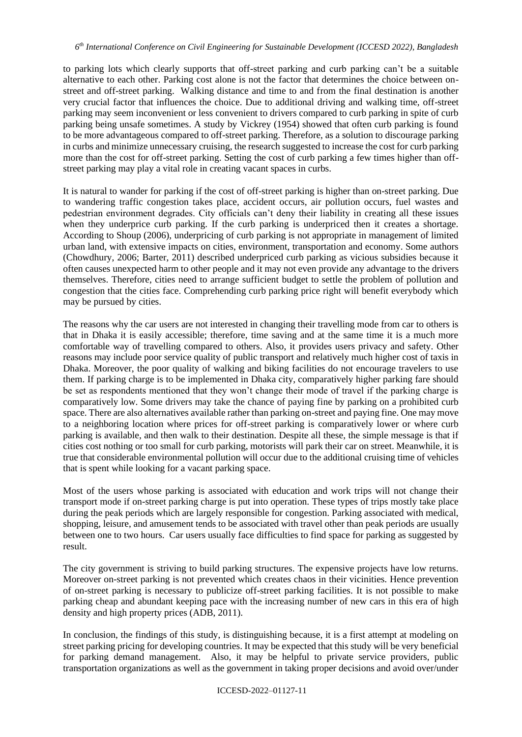to parking lots which clearly supports that off-street parking and curb parking can't be a suitable alternative to each other. Parking cost alone is not the factor that determines the choice between onstreet and off-street parking. Walking distance and time to and from the final destination is another very crucial factor that influences the choice. Due to additional driving and walking time, off-street parking may seem inconvenient or less convenient to drivers compared to curb parking in spite of curb parking being unsafe sometimes. A study by Vickrey (1954) showed that often curb parking is found to be more advantageous compared to off-street parking. Therefore, as a solution to discourage parking in curbs and minimize unnecessary cruising, the research suggested to increase the cost for curb parking more than the cost for off-street parking. Setting the cost of curb parking a few times higher than offstreet parking may play a vital role in creating vacant spaces in curbs.

It is natural to wander for parking if the cost of off-street parking is higher than on-street parking. Due to wandering traffic congestion takes place, accident occurs, air pollution occurs, fuel wastes and pedestrian environment degrades. City officials can't deny their liability in creating all these issues when they underprice curb parking. If the curb parking is underpriced then it creates a shortage. According to Shoup (2006), underpricing of curb parking is not appropriate in management of limited urban land, with extensive impacts on cities, environment, transportation and economy. Some authors (Chowdhury, 2006; Barter, 2011) described underpriced curb parking as vicious subsidies because it often causes unexpected harm to other people and it may not even provide any advantage to the drivers themselves. Therefore, cities need to arrange sufficient budget to settle the problem of pollution and congestion that the cities face. Comprehending curb parking price right will benefit everybody which may be pursued by cities.

The reasons why the car users are not interested in changing their travelling mode from car to others is that in Dhaka it is easily accessible; therefore, time saving and at the same time it is a much more comfortable way of travelling compared to others. Also, it provides users privacy and safety. Other reasons may include poor service quality of public transport and relatively much higher cost of taxis in Dhaka. Moreover, the poor quality of walking and biking facilities do not encourage travelers to use them. If parking charge is to be implemented in Dhaka city, comparatively higher parking fare should be set as respondents mentioned that they won't change their mode of travel if the parking charge is comparatively low. Some drivers may take the chance of paying fine by parking on a prohibited curb space. There are also alternatives available rather than parking on-street and paying fine. One may move to a neighboring location where prices for off-street parking is comparatively lower or where curb parking is available, and then walk to their destination. Despite all these, the simple message is that if cities cost nothing or too small for curb parking, motorists will park their car on street. Meanwhile, it is true that considerable environmental pollution will occur due to the additional cruising time of vehicles that is spent while looking for a vacant parking space.

Most of the users whose parking is associated with education and work trips will not change their transport mode if on-street parking charge is put into operation. These types of trips mostly take place during the peak periods which are largely responsible for congestion. Parking associated with medical, shopping, leisure, and amusement tends to be associated with travel other than peak periods are usually between one to two hours. Car users usually face difficulties to find space for parking as suggested by result.

The city government is striving to build parking structures. The expensive projects have low returns. Moreover on-street parking is not prevented which creates chaos in their vicinities. Hence prevention of on-street parking is necessary to publicize off-street parking facilities. It is not possible to make parking cheap and abundant keeping pace with the increasing number of new cars in this era of high density and high property prices (ADB, 2011).

In conclusion, the findings of this study, is distinguishing because, it is a first attempt at modeling on street parking pricing for developing countries. It may be expected that this study will be very beneficial for parking demand management. Also, it may be helpful to private service providers, public transportation organizations as well as the government in taking proper decisions and avoid over/under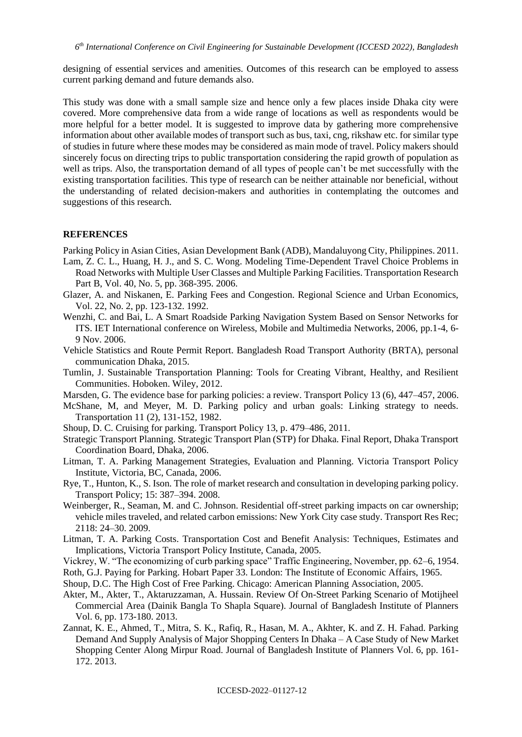designing of essential services and amenities. Outcomes of this research can be employed to assess current parking demand and future demands also.

This study was done with a small sample size and hence only a few places inside Dhaka city were covered. More comprehensive data from a wide range of locations as well as respondents would be more helpful for a better model. It is suggested to improve data by gathering more comprehensive information about other available modes of transport such as bus, taxi, cng, rikshaw etc. for similar type of studies in future where these modes may be considered as main mode of travel. Policy makers should sincerely focus on directing trips to public transportation considering the rapid growth of population as well as trips. Also, the transportation demand of all types of people can't be met successfully with the existing transportation facilities. This type of research can be neither attainable nor beneficial, without the understanding of related decision-makers and authorities in contemplating the outcomes and suggestions of this research.

#### **REFERENCES**

Parking Policy in Asian Cities, Asian Development Bank (ADB), Mandaluyong City, Philippines. 2011.

- Lam, Z. C. L., Huang, H. J., and S. C. Wong. Modeling Time-Dependent Travel Choice Problems in Road Networks with Multiple User Classes and Multiple Parking Facilities. Transportation Research Part B, Vol. 40, No. 5, pp. 368-395. 2006.
- Glazer, A. and Niskanen, E. Parking Fees and Congestion. Regional Science and Urban Economics, Vol. 22, No. 2, pp. 123-132. 1992.
- Wenzhi, C. and Bai, L. A Smart Roadside Parking Navigation System Based on Sensor Networks for ITS. IET International conference on Wireless, Mobile and Multimedia Networks, 2006, pp.1-4, 6- 9 Nov. 2006.
- Vehicle Statistics and Route Permit Report. Bangladesh Road Transport Authority (BRTA), personal communication Dhaka, 2015.
- Tumlin, J. Sustainable Transportation Planning: Tools for Creating Vibrant, Healthy, and Resilient Communities. Hoboken. Wiley, 2012.
- Marsden, G. The evidence base for parking policies: a review. Transport Policy 13 (6), 447–457, 2006.
- McShane, M, and Meyer, M. D. Parking policy and urban goals: Linking strategy to needs. Transportation 11 (2), 131-152, 1982.
- Shoup, D. C. Cruising for parking. Transport Policy 13, p. 479–486, 2011.
- Strategic Transport Planning. Strategic Transport Plan (STP) for Dhaka. Final Report, Dhaka Transport Coordination Board, Dhaka, 2006.
- Litman, T. A. Parking Management Strategies, Evaluation and Planning. Victoria Transport Policy Institute, Victoria, BC, Canada, 2006.
- Rye, T., Hunton, K., S. Ison. The role of market research and consultation in developing parking policy. Transport Policy; 15: 387–394. 2008.
- Weinberger, R., Seaman, M. and C. Johnson. Residential off-street parking impacts on car ownership; vehicle miles traveled, and related carbon emissions: New York City case study. Transport Res Rec; 2118: 24–30. 2009.
- Litman, T. A. Parking Costs. Transportation Cost and Benefit Analysis: Techniques, Estimates and Implications, Victoria Transport Policy Institute, Canada, 2005.
- Vickrey, W. "The economizing of curb parking space" Traffic Engineering, November, pp. 62–6, 1954.
- Roth, G.J. Paying for Parking. Hobart Paper 33. London: The Institute of Economic Affairs, 1965.
- Shoup, D.C. The High Cost of Free Parking. Chicago: American Planning Association, 2005.
- Akter, M., Akter, T., Aktaruzzaman, A. Hussain. Review Of On-Street Parking Scenario of Motijheel Commercial Area (Dainik Bangla To Shapla Square). Journal of Bangladesh Institute of Planners Vol. 6, pp. 173-180. 2013.
- Zannat, K. E., Ahmed, T., Mitra, S. K., Rafiq, R., Hasan, M. A., Akhter, K. and Z. H. Fahad. Parking Demand And Supply Analysis of Major Shopping Centers In Dhaka – A Case Study of New Market Shopping Center Along Mirpur Road. Journal of Bangladesh Institute of Planners Vol. 6, pp. 161- 172. 2013.